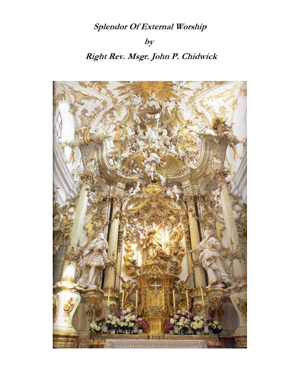## Splendor Of External Worship

## $by$

## Right Rev. Msgr. John P. Chidwick

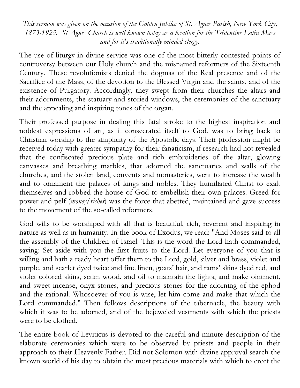This sermon was given on the occasion of the Golden Jubilee of St. Agnes Parish, New York City, 1873-1923. St Agnes Church is well known today as a location for the Tridentine Latin Mass and for it's traditionally minded clergy.

The use of liturgy in divine service was one of the most bitterly contested points of controversy between our Holy church and the misnamed reformers of the Sixteenth Century. These revolutionists denied the dogmas of the Real presence and of the Sacrifice of the Mass, of the devotion to the Blessed Virgin and the saints, and of the existence of Purgatory. Accordingly, they swept from their churches the altars and their adornments, the statuary and storied windows, the ceremonies of the sanctuary and the appealing and inspiring tones of the organ.

Their professed purpose in dealing this fatal stroke to the highest inspiration and noblest expressions of art, as it consecrated itself to God, was to bring back to Christian worship to the simplicity of the Apostolic days. Their profession might be received today with greater sympathy for their fanaticism, if research had not revealed that the confiscated precious plate and rich embroideries of the altar, glowing canvasses and breathing marbles, that adorned the sanctuaries and walls of the churches, and the stolen land, convents and monasteries, went to increase the wealth and to ornament the palaces of kings and nobles. They humiliated Christ to exalt themselves and robbed the house of God to embellish their own palaces. Greed for power and pelf (money/riches) was the force that abetted, maintained and gave success to the movement of the so-called reformers.

God wills to be worshiped with all that is beautiful, rich, reverent and inspiring in nature as well as in humanity. In the book of Exodus, we read: "And Moses said to all the assembly of the Children of Israel: This is the word the Lord hath commanded, saying: Set aside with you the first fruits to the Lord. Let everyone of you that is willing and hath a ready heart offer them to the Lord, gold, silver and brass, violet and purple, and scarlet dyed twice and fine linen, goats' hair, and rams' skins dyed red, and violet colored skins, setim wood, and oil to maintain the lights, and make ointment, and sweet incense, onyx stones, and precious stones for the adorning of the ephod and the rational. Whosoever of you is wise, let him come and make that which the Lord commanded." Then follows descriptions of the tabernacle, the beauty with which it was to be adorned, and of the bejeweled vestments with which the priests were to be clothed.

The entire book of Leviticus is devoted to the careful and minute description of the elaborate ceremonies which were to be observed by priests and people in their approach to their Heavenly Father. Did not Solomon with divine approval search the known world of his day to obtain the most precious materials with which to erect the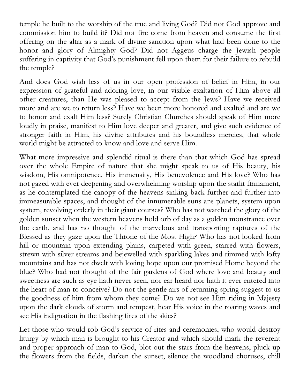temple he built to the worship of the true and living God? Did not God approve and commission him to build it? Did not fire come from heaven and consume the first offering on the altar as a mark of divine sanction upon what had been done to the honor and glory of Almighty God? Did not Aggeus charge the Jewish people suffering in captivity that God's punishment fell upon them for their failure to rebuild the temple?

And does God wish less of us in our open profession of belief in Him, in our expression of grateful and adoring love, in our visible exaltation of Him above all other creatures, than He was pleased to accept from the Jews? Have we received more and are we to return less? Have we been more honored and exalted and are we to honor and exalt Him less? Surely Christian Churches should speak of Him more loudly in praise, manifest to Him love deeper and greater, and give such evidence of stronger faith in Him, his divine attributes and his boundless mercies, that whole world might be attracted to know and love and serve Him.

What more impressive and splendid ritual is there than that which God has spread over the whole Empire of nature that she might speak to us of His beauty, his wisdom, His omnipotence, His immensity, His benevolence and His love? Who has not gazed with ever deepening and overwhelming worship upon the starlit firmament, as he contemplated the canopy of the heavens sinking back further and further into immeasurable spaces, and thought of the innumerable suns ans planets, system upon system, revolving orderly in their giant courses? Who has not watched the glory of the golden sunset when the western heavens hold orb of day as a golden monstrance over the earth, and has no thought of the marvelous and transporting raptures of the Blessed as they gaze upon the Throne of the Most High? Who has not looked from hill or mountain upon extending plains, carpeted with green, starred with flowers, strewn with silver streams and bejewelled with sparkling lakes and rimmed with lofty mountains and has not dwelt with loving hope upon our promised Home beyond the blue? Who had not thought of the fair gardens of God where love and beauty and sweetness are such as eye hath never seen, nor ear heard nor hath it ever entered into the heart of man to conceive? Do not the gentle airs of returning spring suggest to us the goodness of him from whom they come? Do we not see Him riding in Majesty upon the dark clouds of storm and tempest, hear His voice in the roaring waves and see His indignation in the flashing fires of the skies?

Let those who would rob God's service of rites and ceremonies, who would destroy liturgy by which man is brought to his Creator and which should mark the reverent and proper approach of man to God, blot out the stars from the heavens, pluck up the flowers from the fields, darken the sunset, silence the woodland choruses, chill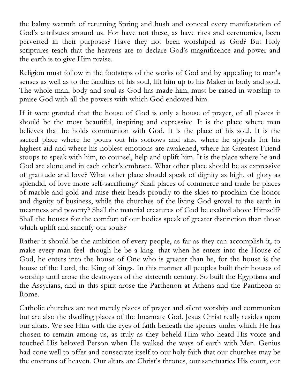the balmy warmth of returning Spring and hush and conceal every manifestation of God's attributes around us. For have not these, as have rites and ceremonies, been perverted in their purposes? Have they not been worshiped as God? But Holy scriptures teach that the heavens are to declare God's magnificence and power and the earth is to give Him praise.

Religion must follow in the footsteps of the works of God and by appealing to man's senses as well as to the faculties of his soul, lift him up to his Maker in body and soul. The whole man, body and soul as God has made him, must be raised in worship to praise God with all the powers with which God endowed him.

If it were granted that the house of God is only a house of prayer, of all places it should be the most beautiful, inspiring and expressive. It is the place where man believes that he holds communion with God. It is the place of his soul. It is the sacred place where he pours out his sorrows and sins, where he appeals for his highest aid and where his noblest emotions are awakened, where his Greatest Friend stoops to speak with him, to counsel, help and uplift him. It is the place where he and God are alone and in each other's embrace. What other place should be as expressive of gratitude and love? What other place should speak of dignity as high, of glory as splendid, of love more self-sacrificing? Shall places of commerce and trade be places of marble and gold and raise their heads proudly to the skies to proclaim the honor and dignity of business, while the churches of the living God grovel to the earth in meanness and poverty? Shall the material creatures of God be exalted above Himself? Shall the houses for the comfort of our bodies speak of greater distinction than those which uplift and sanctify our souls?

Rather it should be the ambition of every people, as far as they can accomplish it, to make every man feel--though he be a king--that when he enters into the House of God, he enters into the house of One who is greater than he, for the house is the house of the Lord, the King of kings. In this manner all peoples built their houses of worship until arose the destroyers of the sixteenth century. So built the Egyptians and the Assyrians, and in this spirit arose the Parthenon at Athens and the Pantheon at Rome.

Catholic churches are not merely places of prayer and silent worship and communion but are also the dwelling places of the Incarnate God. Jesus Christ really resides upon our altars. We see Him with the eyes of faith beneath the species under which He has chosen to remain among us, as truly as they beheld Him who heard His voice and touched His beloved Person when He walked the ways of earth with Men. Genius had cone well to offer and consecrate itself to our holy faith that our churches may be the environs of heaven. Our altars are Christ's thrones, our sanctuaries His court, our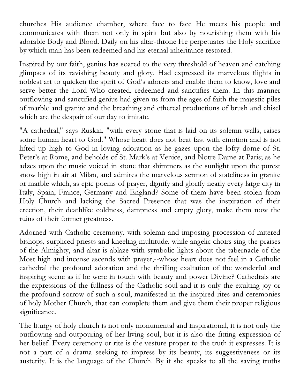churches His audience chamber, where face to face He meets his people and communicates with them not only in spirit but also by nourishing them with his adorable Body and Blood. Daily on his altar-throne He perpetuates the Holy sacrifice by which man has been redeemed and his eternal inheritance restored.

Inspired by our faith, genius has soared to the very threshold of heaven and catching glimpses of its ravishing beauty and glory. Had expressed its marvelous flights in noblest art to quicken the spirit of God's adorers and enable them to know, love and serve better the Lord Who created, redeemed and sanctifies them. In this manner outflowing and sanctified genius had given us from the ages of faith the majestic piles of marble and granite and the breathing and ethereal productions of brush and chisel which are the despair of our day to imitate.

"A cathedral," says Ruskin, "with every stone that is laid on its solemn walls, raises some human heart to God." Whose heart does not beat fast with emotion and is not lifted up high to God in loving adoration as he gazes upon the lofty dome of St. Peter's at Rome, and beholds of St. Mark's at Venice, and Notre Dame at Paris; as he adzes upon the music voiced in stone that shimmers as the sunlight upon the purest snow high in air at Milan, and admires the marvelous sermon of stateliness in granite or marble which, as epic poems of prayer, dignify and glorify nearly every large city in Italy, Spain, France, Germany and England? Some of them have been stolen from Holy Church and lacking the Sacred Presence that was the inspiration of their erection, their deathlike coldness, dampness and empty glory, make them now the ruins of their former greatness.

Adorned with Catholic ceremony, with solemn and imposing procession of mitered bishops, surpliced priests and kneeling multitude, while angelic choirs sing the praises of the Almighty, and altar is ablaze with symbolic lights about the tabernacle of the Most high and incense ascends with prayer,--whose heart does not feel in a Catholic cathedral the profound adoration and the thrilling exaltation of the wonderful and inspiring scene as if he were in touch with beauty and power Divine? Cathedrals are the expressions of the fullness of the Catholic soul and it is only the exulting joy or the profound sorrow of such a soul, manifested in the inspired rites and ceremonies of holy Mother Church, that can complete them and give them their proper religious significance.

The liturgy of holy church is not only monumental and inspirational, it is not only the outflowing and outpouring of her living soul, but it is also the fitting expression of her belief. Every ceremony or rite is the vesture proper to the truth it expresses. It is not a part of a drama seeking to impress by its beauty, its suggestiveness or its austerity. It is the language of the Church. By it she speaks to all the saving truths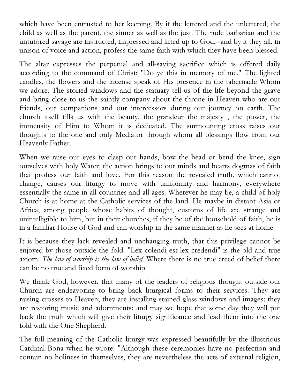which have been entrusted to her keeping. By it the lettered and the unlettered, the child as well as the parent, the sinner as well as the just. The rude barbarian and the untutored savage are instructed, impressed and lifted up to God,--and by it they all, in unison of voice and action, profess the same faith with which they have been blessed.

The altar expresses the perpetual and all-saving sacrifice which is offered daily according to the command of Christ: "Do ye this in memory of me." The lighted candles, the flowers and the incense speak of His presence in the tabernacle Whom we adore. The storied windows and the statuary tell us of the life beyond the grave and bring close to us the saintly company about the throne in Heaven who are our friends, our companions and our intercessors during our journey on earth. The church itself fills us with the beauty, the grandeur the majesty , the power, the immensity of Him to Whom it is dedicated. The surmounting cross raises our thoughts to the one and only Mediator through whom all blessings flow from our Heavenly Father.

When we raise our eyes to clasp our hands, bow the head or bend the knee, sign ourselves with holy Water, the action brings to our minds and hearts dogmas of faith that profess our faith and love. For this reason the revealed truth, which cannot change, causes our liturgy to move with uniformity and harmony, everywhere essentially the same in all countries and all ages. Wherever he may be, a child of holy Church is at home at the Catholic services of the land. He maybe in distant Asia or Africa, among people whose habits of thought, customs of life are strange and unintelligible to him, but in their churches, if they be of the household of faith, he is in a familiar House of God and can worship in the same manner as he sees at home.

It is because they lack revealed and unchanging truth, that this privilege cannot be enjoyed by those outside the fold. "Lex colendi est lex credendi" is the old and true axiom. The law of worship is the law of belief. Where there is no true creed of belief there can be no true and fixed form of worship.

We thank God, however, that many of the leaders of religious thought outside our Church are endeavoring to bring back liturgical forms to their services. They are raising crosses to Heaven; they are installing stained glass windows and images; they are restoring music and adornments; and may we hope that some day they will put back the truth which will give their liturgy significance and lead them into the one fold with the One Shepherd.

The full meaning of the Catholic liturgy was expressed beautifully by the illustrious Cardinal Bona when he wrote: "Although these ceremonies have no perfection and contain no holiness in themselves, they are nevertheless the acts of external religion,